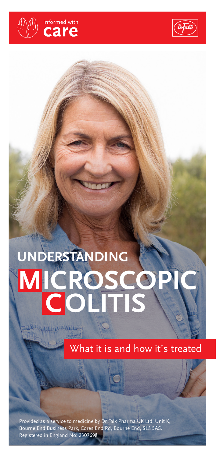



# **MICROSCOPIC UNDERSTANDING COLITIS**

What it is and how it's treated

Provided as a service to medicine by Dr Falk Pharma UK Ltd, Unit K, Bourne End Business Park, Cores End Rd, Bourne End, SL8 5AS. Registered in England No: 2307698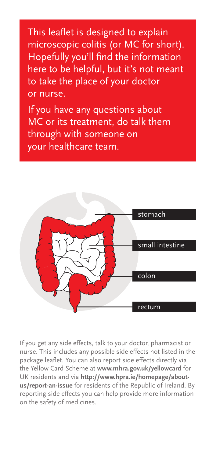This leaflet is designed to explain microscopic colitis (or MC for short). Hopefully you'll find the information here to be helpful, but it's not meant to take the place of your doctor or nurse.

If you have any questions about MC or its treatment, do talk them through with someone on your healthcare team.



If you get any side effects, talk to your doctor, pharmacist or nurse. This includes any possible side effects not listed in the package leaflet. You can also report side effects directly via the Yellow Card Scheme at **www.mhra.gov.uk/yellowcard** for UK residents and via **http://www.hpra.ie/homepage/aboutus/report-an-issue** for residents of the Republic of Ireland. By reporting side effects you can help provide more information on the safety of medicines.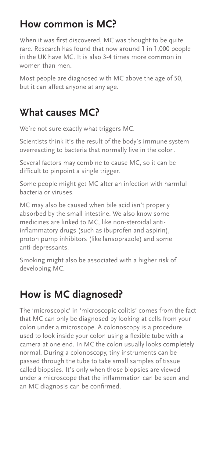### **How common is MC?**

When it was first discovered, MC was thought to be quite rare. Research has found that now around 1 in 1,000 people in the UK have MC. It is also 3-4 times more common in women than men.

Most people are diagnosed with MC above the age of 50, but it can affect anyone at any age.

#### **What causes MC?**

We're not sure exactly what triggers MC.

Scientists think it's the result of the body's immune system overreacting to bacteria that normally live in the colon.

Several factors may combine to cause MC, so it can be difficult to pinpoint a single trigger.

Some people might get MC after an infection with harmful bacteria or viruses.

MC may also be caused when bile acid isn't properly absorbed by the small intestine. We also know some medicines are linked to MC, like non-steroidal antiinflammatory drugs (such as ibuprofen and aspirin), proton pump inhibitors (like lansoprazole) and some anti-depressants.

Smoking might also be associated with a higher risk of developing MC.

# **How is MC diagnosed?**

The 'microscopic' in 'microscopic colitis' comes from the fact that MC can only be diagnosed by looking at cells from your colon under a microscope. A colonoscopy is a procedure used to look inside your colon using a flexible tube with a camera at one end. In MC the colon usually looks completely normal. During a colonoscopy, tiny instruments can be passed through the tube to take small samples of tissue called biopsies. It's only when those biopsies are viewed under a microscope that the inflammation can be seen and an MC diagnosis can be confirmed.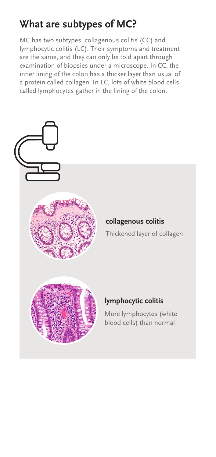# **What are subtypes of MC?**

MC has two subtypes, collagenous colitis (CC) and lymphocytic colitis (LC). Their symptoms and treatment are the same, and they can only be told apart through examination of biopsies under a microscope. In CC, the inner lining of the colon has a thicker layer than usual of a protein called collagen. In LC, lots of white blood cells called lymphocytes gather in the lining of the colon.

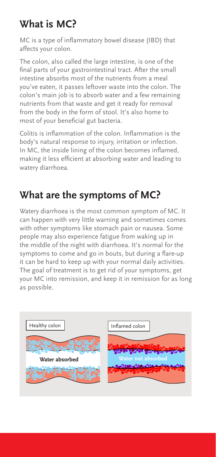# **What is MC?**

MC is a type of inflammatory bowel disease (IBD) that affects your colon.

The colon, also called the large intestine, is one of the final parts of your gastrointestinal tract. After the small intestine absorbs most of the nutrients from a meal you've eaten, it passes leftover waste into the colon. The colon's main job is to absorb water and a few remaining nutrients from that waste and get it ready for removal from the body in the form of stool. It's also home to most of your beneficial gut bacteria.

Colitis is inflammation of the colon. Inflammation is the body's natural response to injury, irritation or infection. In MC, the inside lining of the colon becomes inflamed, making it less efficient at absorbing water and leading to watery diarrhoea.

## **What are the symptoms of MC?**

Watery diarrhoea is the most common symptom of MC. It can happen with very little warning and sometimes comes with other symptoms like stomach pain or nausea. Some people may also experience fatigue from waking up in the middle of the night with diarrhoea. It's normal for the symptoms to come and go in bouts, but during a flare-up it can be hard to keep up with your normal daily activities. The goal of treatment is to get rid of your symptoms, get your MC into remission, and keep it in remission for as long as possible.